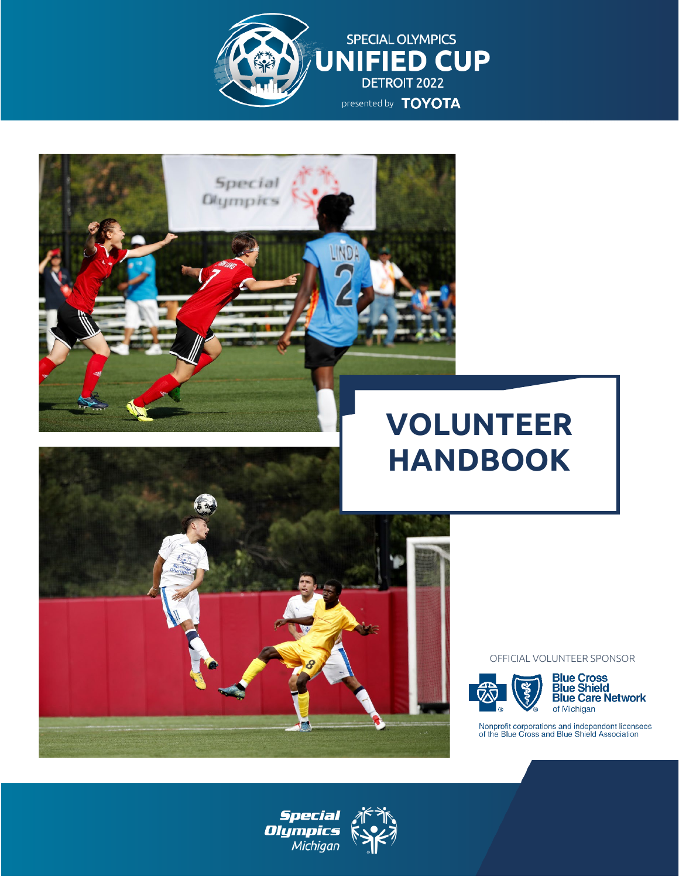





Special **Olympics** 

#### OFFICIAL VOLUNTEER SPONSOR





Nonprofit corporations and independent licensees<br>of the Blue Cross and Blue Shield Association



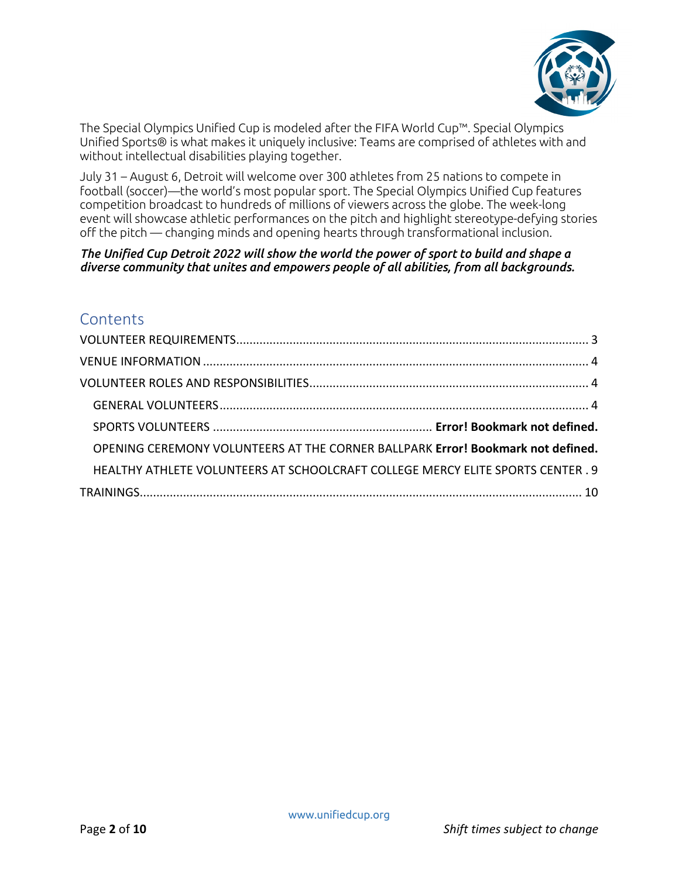

The Special Olympics Unified Cup is modeled after the FIFA World Cup™. Special Olympics Unified Sports® is what makes it uniquely inclusive: Teams are comprised of athletes with and without intellectual disabilities playing together.

July 31 – August 6, Detroit will welcome over 300 athletes from 25 nations to compete in football (soccer)—the world's most popular sport. The Special Olympics Unified Cup features competition broadcast to hundreds of millions of viewers across the globe. The week-long event will showcase athletic performances on the pitch and highlight stereotype-defying stories off the pitch — changing minds and opening hearts through transformational inclusion.

*The Unified Cup Detroit 2022 will show the world the power of sport to build and shape a diverse community that unites and empowers people of all abilities, from all backgrounds.*

## **Contents**

<span id="page-1-0"></span>

| OPENING CEREMONY VOLUNTEERS AT THE CORNER BALLPARK Error! Bookmark not defined. |  |
|---------------------------------------------------------------------------------|--|
| HEALTHY ATHLETE VOLUNTEERS AT SCHOOLCRAFT COLLEGE MERCY ELITE SPORTS CENTER . 9 |  |
|                                                                                 |  |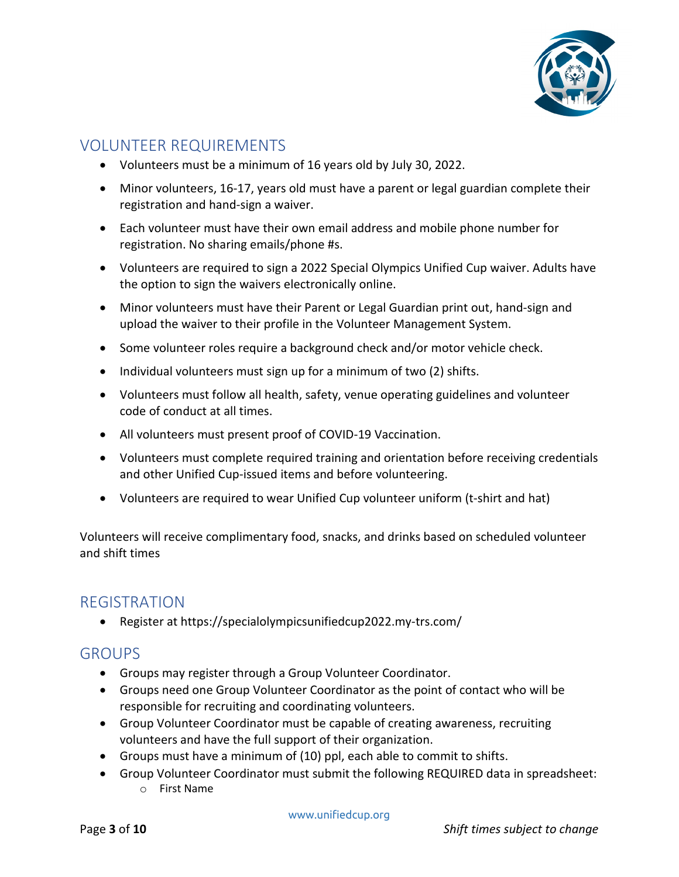

## VOLUNTEER REQUIREMENTS

- Volunteers must be a minimum of 16 years old by July 30, 2022.
- Minor volunteers, 16-17, years old must have a parent or legal guardian complete their registration and hand-sign a waiver.
- Each volunteer must have their own email address and mobile phone number for registration. No sharing emails/phone #s.
- Volunteers are required to sign a 2022 Special Olympics Unified Cup waiver. Adults have the option to sign the waivers electronically online.
- Minor volunteers must have their Parent or Legal Guardian print out, hand-sign and upload the waiver to their profile in the Volunteer Management System.
- Some volunteer roles require a background check and/or motor vehicle check.
- Individual volunteers must sign up for a minimum of two (2) shifts.
- Volunteers must follow all health, safety, venue operating guidelines and volunteer code of conduct at all times.
- All volunteers must present proof of COVID-19 Vaccination.
- Volunteers must complete required training and orientation before receiving credentials and other Unified Cup-issued items and before volunteering.
- Volunteers are required to wear Unified Cup volunteer uniform (t-shirt and hat)

Volunteers will receive complimentary food, snacks, and drinks based on scheduled volunteer and shift times

## REGISTRATION

• Register at https://specialolympicsunifiedcup2022.my-trs.com/

## **GROUPS**

- Groups may register through a Group Volunteer Coordinator.
- Groups need one Group Volunteer Coordinator as the point of contact who will be responsible for recruiting and coordinating volunteers.
- Group Volunteer Coordinator must be capable of creating awareness, recruiting volunteers and have the full support of their organization.
- Groups must have a minimum of (10) ppl, each able to commit to shifts.
- Group Volunteer Coordinator must submit the following REQUIRED data in spreadsheet: o First Name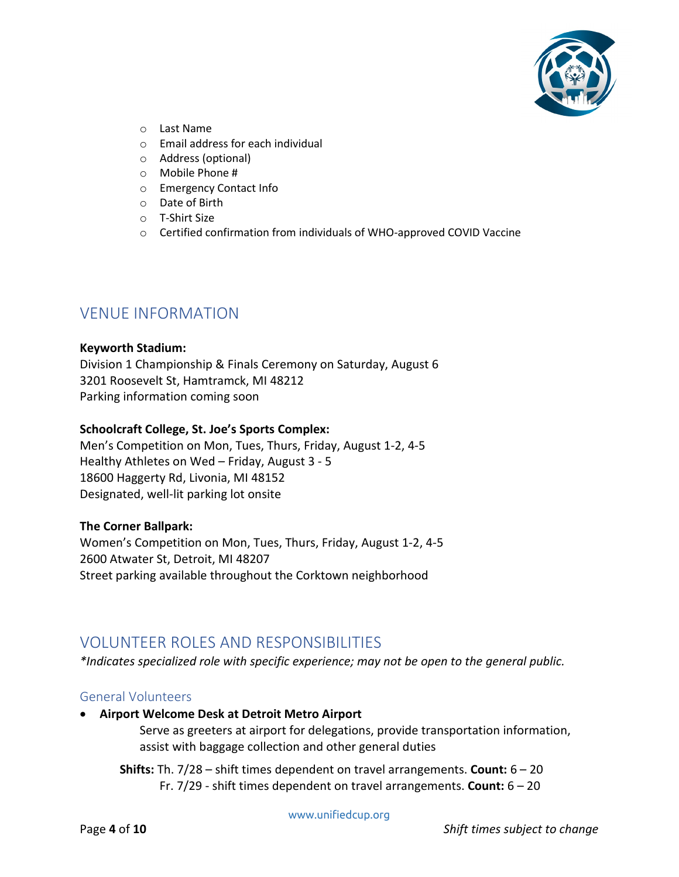

- o Last Name
- o Email address for each individual
- o Address (optional)
- o Mobile Phone #
- o Emergency Contact Info
- o Date of Birth
- o T-Shirt Size
- o Certified confirmation from individuals of WHO-approved COVID Vaccine

## <span id="page-3-0"></span>VENUE INFORMATION

#### **Keyworth Stadium:**

Division 1 Championship & Finals Ceremony on Saturday, August 6 3201 Roosevelt St, Hamtramck, MI 48212 Parking information coming soon

#### **Schoolcraft College, St. Joe's Sports Complex:**

Men's Competition on Mon, Tues, Thurs, Friday, August 1-2, 4-5 Healthy Athletes on Wed – Friday, August 3 - 5 18600 Haggerty Rd, Livonia, MI 48152 Designated, well-lit parking lot onsite

#### **The Corner Ballpark:**

Women's Competition on Mon, Tues, Thurs, Friday, August 1-2, 4-5 2600 Atwater St, Detroit, MI 48207 Street parking available throughout the Corktown neighborhood

## <span id="page-3-1"></span>VOLUNTEER ROLES AND RESPONSIBILITIES

*\*Indicates specialized role with specific experience; may not be open to the general public.*

### <span id="page-3-2"></span>General Volunteers

• **Airport Welcome Desk at Detroit Metro Airport**

Serve as greeters at airport for delegations, provide transportation information, assist with baggage collection and other general duties

**Shifts:** Th. 7/28 – shift times dependent on travel arrangements. **Count:** 6 – 20 Fr. 7/29 - shift times dependent on travel arrangements. **Count:** 6 – 20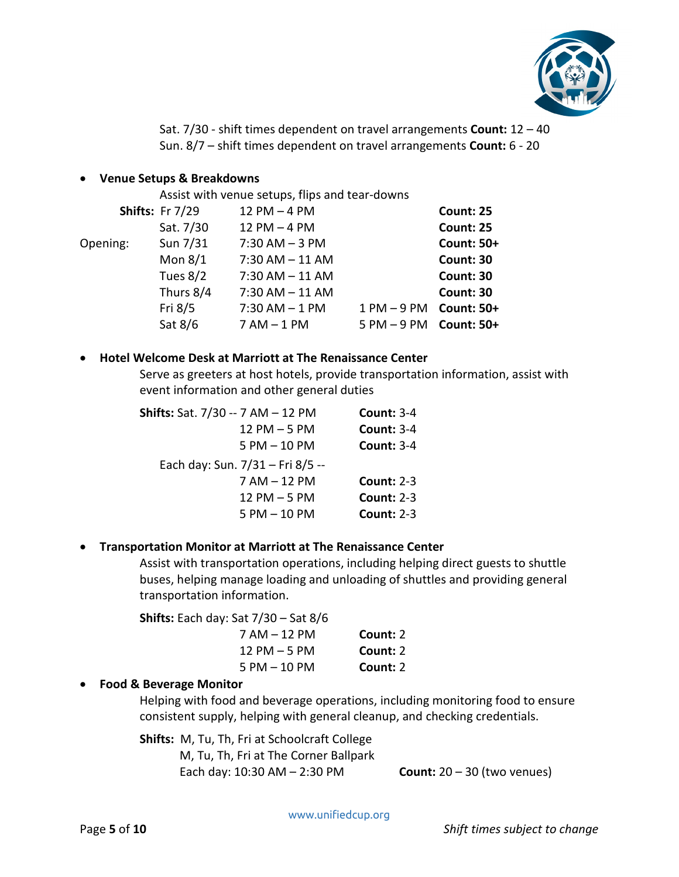

Sat. 7/30 - shift times dependent on travel arrangements **Count:** 12 – 40 Sun. 8/7 – shift times dependent on travel arrangements **Count:** 6 - 20

#### • **Venue Setups & Breakdowns**

Assist with venue setups, flips and tear-downs

|          | <b>Shifts: Fr 7/29</b> | $12$ PM $-4$ PM    |               | <b>Count: 25</b>  |
|----------|------------------------|--------------------|---------------|-------------------|
|          | Sat. 7/30              | 12 PM $-4$ PM      |               | <b>Count: 25</b>  |
| Opening: | Sun 7/31               | $7:30$ AM $-3$ PM  |               | <b>Count: 50+</b> |
|          | Mon $8/1$              | $7:30$ AM $-11$ AM |               | <b>Count: 30</b>  |
|          | Tues $8/2$             | $7:30$ AM $-11$ AM |               | Count: 30         |
|          | Thurs 8/4              | $7:30$ AM $-11$ AM |               | <b>Count: 30</b>  |
|          | Fri 8/5                | $7:30$ AM $-1$ PM  | $1 PM - 9 PM$ | <b>Count: 50+</b> |
|          | Sat 8/6                | $7 AM - 1 PM$      | $5 PM - 9 PM$ | <b>Count: 50+</b> |

#### • **Hotel Welcome Desk at Marriott at The Renaissance Center**

Serve as greeters at host hotels, provide transportation information, assist with event information and other general duties

| Shifts: Sat. 7/30 -- 7 AM - 12 PM | <b>Count: 3-4</b> |
|-----------------------------------|-------------------|
| $12$ PM $-5$ PM                   | <b>Count: 3-4</b> |
| $5$ PM $-$ 10 PM                  | <b>Count: 3-4</b> |
| Each day: Sun. 7/31 - Fri 8/5 --  |                   |
| 7 AM - 12 PM                      | <b>Count: 2-3</b> |
| $12$ PM $-5$ PM                   | <b>Count: 2-3</b> |
| $5$ PM $-$ 10 PM                  | <b>Count: 2-3</b> |

### • **Transportation Monitor at Marriott at The Renaissance Center**

Assist with transportation operations, including helping direct guests to shuttle buses, helping manage loading and unloading of shuttles and providing general transportation information.

|          | <b>Shifts:</b> Each day: Sat $7/30 -$ Sat $8/6$ |
|----------|-------------------------------------------------|
| Count: 2 | $7 AM - 12 PM$                                  |
| Count: 2 | $12$ PM $-5$ PM                                 |
| Count: 2 | $5$ PM $-$ 10 PM                                |

### • **Food & Beverage Monitor**

Helping with food and beverage operations, including monitoring food to ensure consistent supply, helping with general cleanup, and checking credentials.

**Shifts:** M, Tu, Th, Fri at Schoolcraft College

M, Tu, Th, Fri at The Corner Ballpark Each day: 10:30 AM – 2:30 PM **Count:** 20 – 30 (two venues)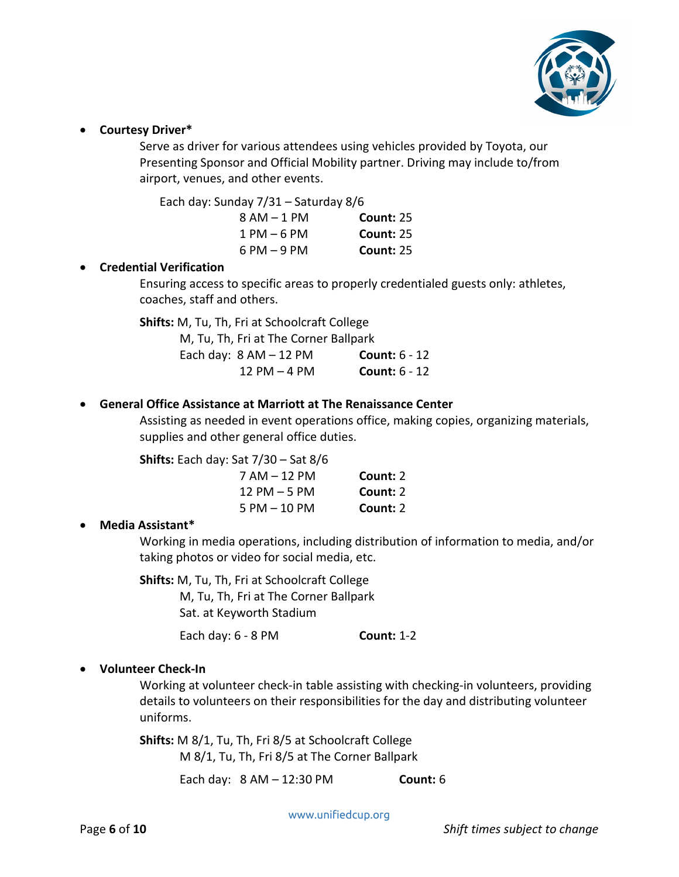

#### • **Courtesy Driver\***

Serve as driver for various attendees using vehicles provided by Toyota, our Presenting Sponsor and Official Mobility partner. Driving may include to/from airport, venues, and other events.

Each day: Sunday 7/31 – Saturday 8/6

| $8 AM - 1 PM$  | <b>Count: 25</b> |
|----------------|------------------|
| $1$ PM $-6$ PM | <b>Count: 25</b> |
| $6$ PM $-9$ PM | <b>Count: 25</b> |

#### • **Credential Verification**

Ensuring access to specific areas to properly credentialed guests only: athletes, coaches, staff and others.

**Shifts:** M, Tu, Th, Fri at Schoolcraft College

| M, Tu, Th, Fri at The Corner Ballpark |                 |
|---------------------------------------|-----------------|
| Each day: $8 AM - 12 PM$              | Count: $6 - 12$ |
| $12$ PM $-4$ PM                       | Count: $6 - 12$ |

#### • **General Office Assistance at Marriott at The Renaissance Center**

Assisting as needed in event operations office, making copies, organizing materials, supplies and other general office duties.

**Shifts:** Each day: Sat 7/30 – Sat 8/6

| $7 AM - 12 PM$  | Count: 2 |
|-----------------|----------|
| $12$ PM $-5$ PM | Count: 2 |
| 5 PM - 10 PM    | Count: 2 |

### • **Media Assistant\***

Working in media operations, including distribution of information to media, and/or taking photos or video for social media, etc.

**Shifts:** M, Tu, Th, Fri at Schoolcraft College M, Tu, Th, Fri at The Corner Ballpark Sat. at Keyworth Stadium

Each day: 6 - 8 PM **Count:** 1-2

### • **Volunteer Check-In**

Working at volunteer check-in table assisting with checking-in volunteers, providing details to volunteers on their responsibilities for the day and distributing volunteer uniforms.

**Shifts:** M 8/1, Tu, Th, Fri 8/5 at Schoolcraft College M 8/1, Tu, Th, Fri 8/5 at The Corner Ballpark

Each day: 8 AM – 12:30 PM **Count:** 6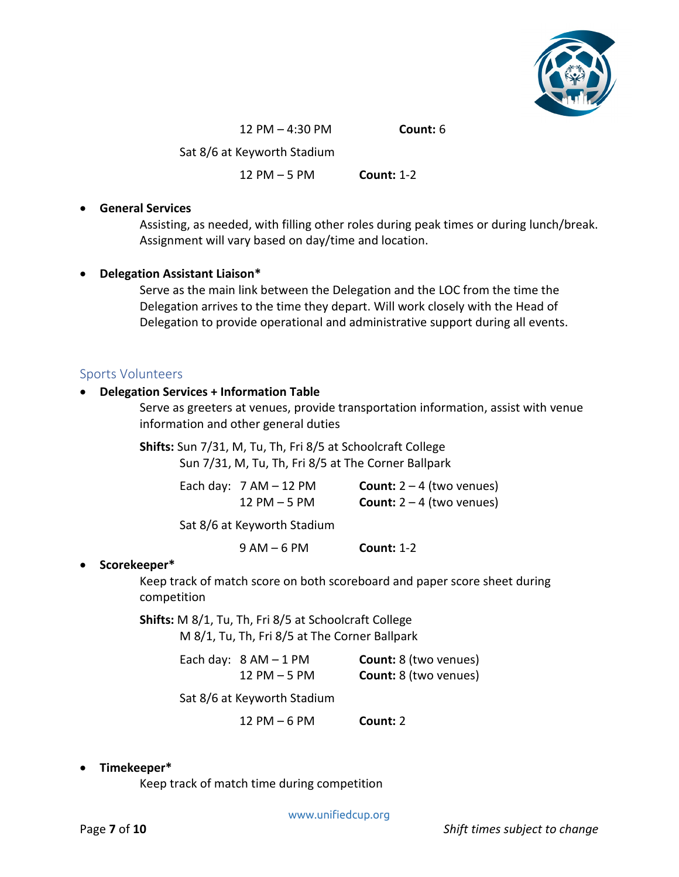

12 PM – 4:30 PM **Count:** 6

Sat 8/6 at Keyworth Stadium

12 PM – 5 PM **Count:** 1-2

#### • **General Services**

Assisting, as needed, with filling other roles during peak times or during lunch/break. Assignment will vary based on day/time and location.

#### • **Delegation Assistant Liaison\***

Serve as the main link between the Delegation and the LOC from the time the Delegation arrives to the time they depart. Will work closely with the Head of Delegation to provide operational and administrative support during all events.

#### Sports Volunteers

#### • **Delegation Services + Information Table**

Serve as greeters at venues, provide transportation information, assist with venue information and other general duties

**Shifts:** Sun 7/31, M, Tu, Th, Fri 8/5 at Schoolcraft College Sun 7/31, M, Tu, Th, Fri 8/5 at The Corner Ballpark

| Each day: $7 AM - 12 PM$ | <b>Count:</b> $2 - 4$ (two venues) |
|--------------------------|------------------------------------|
| $12$ PM $-5$ PM          | <b>Count:</b> $2 - 4$ (two venues) |

Sat 8/6 at Keyworth Stadium

9 AM – 6 PM **Count:** 1-2

### • **Scorekeeper\***

Keep track of match score on both scoreboard and paper score sheet during competition

**Shifts:** M 8/1, Tu, Th, Fri 8/5 at Schoolcraft College M 8/1, Tu, Th, Fri 8/5 at The Corner Ballpark

> Each day: 8 AM – 1 PM **Count:** 8 (two venues) 12 PM – 5 PM **Count:** 8 (two venues)

Sat 8/6 at Keyworth Stadium

12 PM – 6 PM **Count:** 2

#### • **Timekeeper\***

Keep track of match time during competition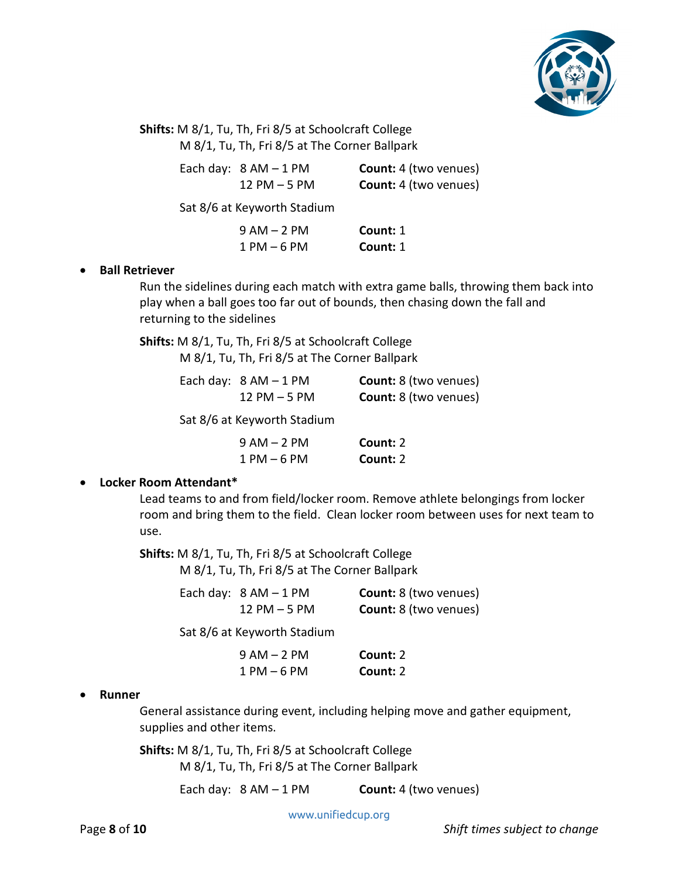

**Shifts:** M 8/1, Tu, Th, Fri 8/5 at Schoolcraft College M 8/1, Tu, Th, Fri 8/5 at The Corner Ballpark

| Each day: $8 AM - 1 PM$ |
|-------------------------|
| $12$ PM $-5$ PM         |

**Count:** 4 (two venues) **Count:** 4 (two venues)

Sat 8/6 at Keyworth Stadium

| $9 AM - 2 PM$   | Count: 1 |
|-----------------|----------|
| $1$ PM $-$ 6 PM | Count: 1 |

#### • **Ball Retriever**

Run the sidelines during each match with extra game balls, throwing them back into play when a ball goes too far out of bounds, then chasing down the fall and returning to the sidelines

**Shifts:** M 8/1, Tu, Th, Fri 8/5 at Schoolcraft College M 8/1, Tu, Th, Fri 8/5 at The Corner Ballpark

| Each day: $8 AM - 1 PM$ | <b>Count:</b> 8 (two venues) |
|-------------------------|------------------------------|
| $12$ PM $-5$ PM         | <b>Count:</b> 8 (two venues) |

Sat 8/6 at Keyworth Stadium

| $9 AM - 2 PM$  | Count: 2 |
|----------------|----------|
| $1$ PM $-6$ PM | Count: 2 |

### • **Locker Room Attendant\***

Lead teams to and from field/locker room. Remove athlete belongings from locker room and bring them to the field. Clean locker room between uses for next team to use.

**Shifts:** M 8/1, Tu, Th, Fri 8/5 at Schoolcraft College M 8/1, Tu, Th, Fri 8/5 at The Corner Ballpark

| Each day: $8 AM - 1 PM$ | <b>Count:</b> 8 (two venues) |
|-------------------------|------------------------------|
| $12$ PM $-5$ PM         | <b>Count:</b> 8 (two venues) |

Sat 8/6 at Keyworth Stadium

| $9 AM - 2 PM$   | Count: 2 |
|-----------------|----------|
| $1$ PM $-$ 6 PM | Count: 2 |

#### • **Runner**

General assistance during event, including helping move and gather equipment, supplies and other items.

**Shifts:** M 8/1, Tu, Th, Fri 8/5 at Schoolcraft College M 8/1, Tu, Th, Fri 8/5 at The Corner Ballpark

Each day: 8 AM – 1 PM **Count:** 4 (two venues)

www.unifiedcup.org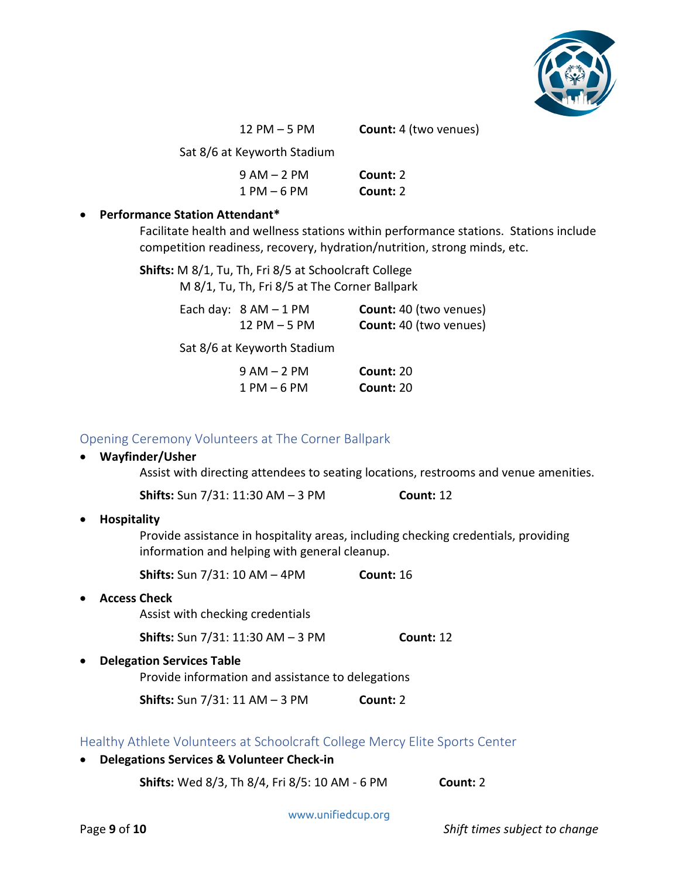

12 PM – 5 PM **Count:** 4 (two venues)

| Sat 8/6 at Keyworth Stadium |          |  |
|-----------------------------|----------|--|
| $9 AM - 2 PM$               | Count: 2 |  |
| $1 PM - 6 PM$               | Count: 2 |  |

#### • **Performance Station Attendant\***

Facilitate health and wellness stations within performance stations. Stations include competition readiness, recovery, hydration/nutrition, strong minds, etc.

**Shifts:** M 8/1, Tu, Th, Fri 8/5 at Schoolcraft College

M 8/1, Tu, Th, Fri 8/5 at The Corner Ballpark

| Each day: $8 AM - 1 PM$ | <b>Count: 40 (two venues)</b> |
|-------------------------|-------------------------------|
| $12$ PM $-5$ PM         | <b>Count: 40 (two venues)</b> |

Sat 8/6 at Keyworth Stadium

| $9 AM - 2 PM$  | <b>Count: 20</b> |
|----------------|------------------|
| $1$ PM $-6$ PM | <b>Count: 20</b> |

#### Opening Ceremony Volunteers at The Corner Ballpark

# • **Wayfinder/Usher** Assist with directing attendees to seating locations, restrooms and venue amenities. **Shifts:** Sun 7/31: 11:30 AM – 3 PM **Count:** 12 • **Hospitality**

Provide assistance in hospitality areas, including checking credentials, providing information and helping with general cleanup.

**Shifts:** Sun 7/31: 10 AM – 4PM **Count:** 16

• **Access Check** Assist with checking credentials

**Shifts:** Sun 7/31: 11:30 AM – 3 PM **Count:** 12

• **Delegation Services Table**

Provide information and assistance to delegations

**Shifts:** Sun 7/31: 11 AM – 3 PM **Count:** 2

<span id="page-8-0"></span>Healthy Athlete Volunteers at Schoolcraft College Mercy Elite Sports Center

• **Delegations Services & Volunteer Check-in Shifts:** Wed 8/3, Th 8/4, Fri 8/5: 10 AM - 6 PM **Count:** 2

www.unifiedcup.org